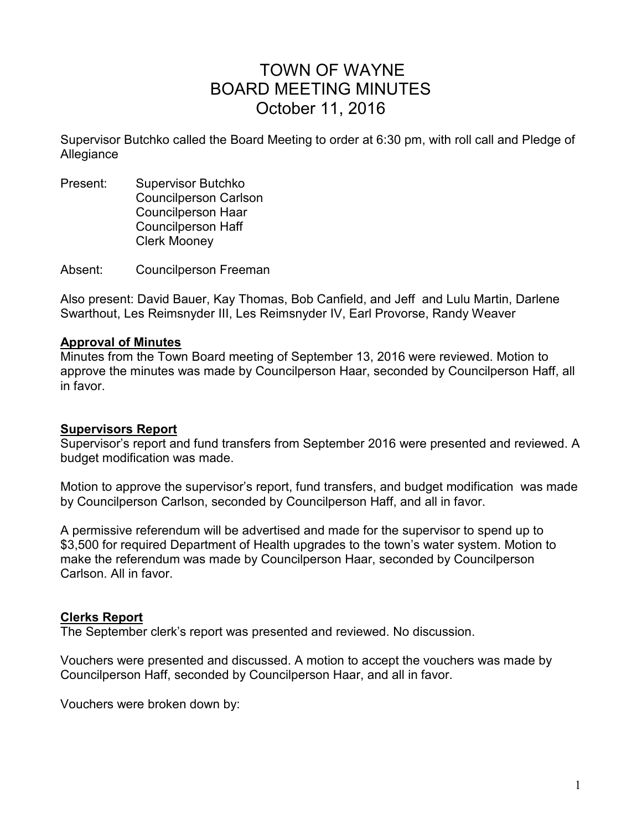# TOWN OF WAYNE BOARD MEETING MINUTES October 11, 2016

Supervisor Butchko called the Board Meeting to order at 6:30 pm, with roll call and Pledge of Allegiance

Present: Supervisor Butchko Councilperson Carlson Councilperson Haar Councilperson Haff Clerk Mooney

Absent: Councilperson Freeman

Also present: David Bauer, Kay Thomas, Bob Canfield, and Jeff and Lulu Martin, Darlene Swarthout, Les Reimsnyder III, Les Reimsnyder IV, Earl Provorse, Randy Weaver

#### **Approval of Minutes**

Minutes from the Town Board meeting of September 13, 2016 were reviewed. Motion to approve the minutes was made by Councilperson Haar, seconded by Councilperson Haff, all in favor.

#### **Supervisors Report**

Supervisor's report and fund transfers from September 2016 were presented and reviewed. A budget modification was made.

Motion to approve the supervisor's report, fund transfers, and budget modification was made by Councilperson Carlson, seconded by Councilperson Haff, and all in favor.

A permissive referendum will be advertised and made for the supervisor to spend up to \$3,500 for required Department of Health upgrades to the town's water system. Motion to make the referendum was made by Councilperson Haar, seconded by Councilperson Carlson. All in favor.

#### **Clerks Report**

The September clerk's report was presented and reviewed. No discussion.

Vouchers were presented and discussed. A motion to accept the vouchers was made by Councilperson Haff, seconded by Councilperson Haar, and all in favor.

Vouchers were broken down by: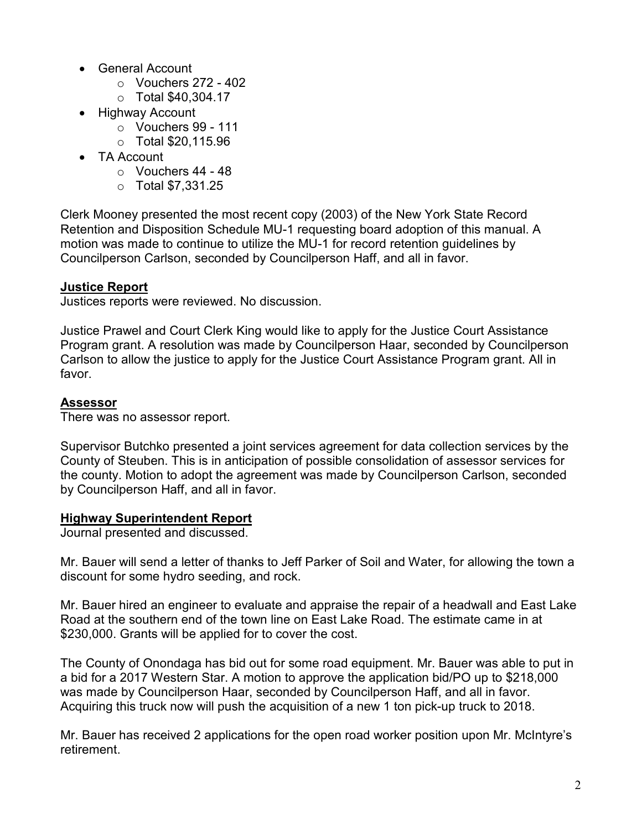- General Account
	- $\circ$  Vouchers 272 402
	- o Total \$40,304.17
- Highway Account
	- o Vouchers 99 111
	- o Total \$20,115.96
- TA Account
	- $\circ$  Vouchers 44 48
	- o Total \$7,331.25

Clerk Mooney presented the most recent copy (2003) of the New York State Record Retention and Disposition Schedule MU-1 requesting board adoption of this manual. A motion was made to continue to utilize the MU-1 for record retention guidelines by Councilperson Carlson, seconded by Councilperson Haff, and all in favor.

# **Justice Report**

Justices reports were reviewed. No discussion.

Justice Prawel and Court Clerk King would like to apply for the Justice Court Assistance Program grant. A resolution was made by Councilperson Haar, seconded by Councilperson Carlson to allow the justice to apply for the Justice Court Assistance Program grant. All in favor.

# **Assessor**

There was no assessor report.

Supervisor Butchko presented a joint services agreement for data collection services by the County of Steuben. This is in anticipation of possible consolidation of assessor services for the county. Motion to adopt the agreement was made by Councilperson Carlson, seconded by Councilperson Haff, and all in favor.

#### **Highway Superintendent Report**

Journal presented and discussed.

Mr. Bauer will send a letter of thanks to Jeff Parker of Soil and Water, for allowing the town a discount for some hydro seeding, and rock.

Mr. Bauer hired an engineer to evaluate and appraise the repair of a headwall and East Lake Road at the southern end of the town line on East Lake Road. The estimate came in at \$230,000. Grants will be applied for to cover the cost.

The County of Onondaga has bid out for some road equipment. Mr. Bauer was able to put in a bid for a 2017 Western Star. A motion to approve the application bid/PO up to \$218,000 was made by Councilperson Haar, seconded by Councilperson Haff, and all in favor. Acquiring this truck now will push the acquisition of a new 1 ton pick-up truck to 2018.

Mr. Bauer has received 2 applications for the open road worker position upon Mr. McIntyre's retirement.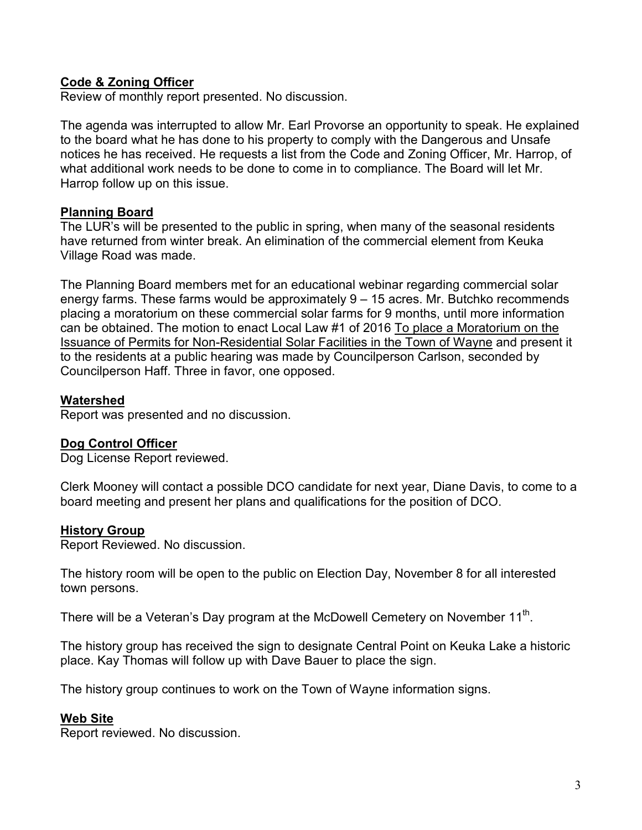# **Code & Zoning Officer**

Review of monthly report presented. No discussion.

The agenda was interrupted to allow Mr. Earl Provorse an opportunity to speak. He explained to the board what he has done to his property to comply with the Dangerous and Unsafe notices he has received. He requests a list from the Code and Zoning Officer, Mr. Harrop, of what additional work needs to be done to come in to compliance. The Board will let Mr. Harrop follow up on this issue.

#### **Planning Board**

The LUR's will be presented to the public in spring, when many of the seasonal residents have returned from winter break. An elimination of the commercial element from Keuka Village Road was made.

The Planning Board members met for an educational webinar regarding commercial solar energy farms. These farms would be approximately 9 – 15 acres. Mr. Butchko recommends placing a moratorium on these commercial solar farms for 9 months, until more information can be obtained. The motion to enact Local Law #1 of 2016 To place a Moratorium on the Issuance of Permits for Non-Residential Solar Facilities in the Town of Wayne and present it to the residents at a public hearing was made by Councilperson Carlson, seconded by Councilperson Haff. Three in favor, one opposed.

# **Watershed**

Report was presented and no discussion.

# **Dog Control Officer**

Dog License Report reviewed.

Clerk Mooney will contact a possible DCO candidate for next year, Diane Davis, to come to a board meeting and present her plans and qualifications for the position of DCO.

# **History Group**

Report Reviewed. No discussion.

The history room will be open to the public on Election Day, November 8 for all interested town persons.

There will be a Veteran's Day program at the McDowell Cemetery on November 11 $^{\rm th}$ .

The history group has received the sign to designate Central Point on Keuka Lake a historic place. Kay Thomas will follow up with Dave Bauer to place the sign.

The history group continues to work on the Town of Wayne information signs.

#### **Web Site**

Report reviewed. No discussion.